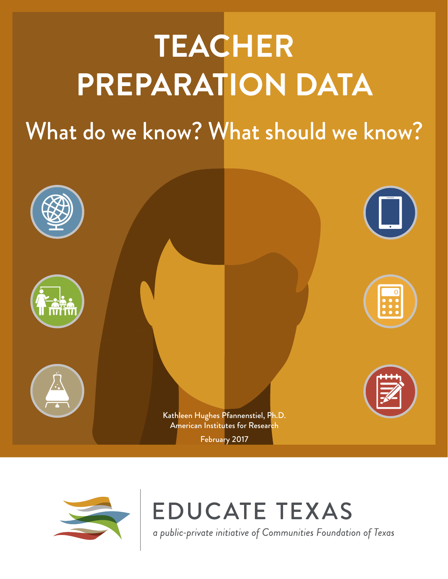# **TEACHER PREPARATION DATA**

What do we know? What should we know?





**EDUCATE TEXAS** 

a public-private initiative of Communities Foundation of Texas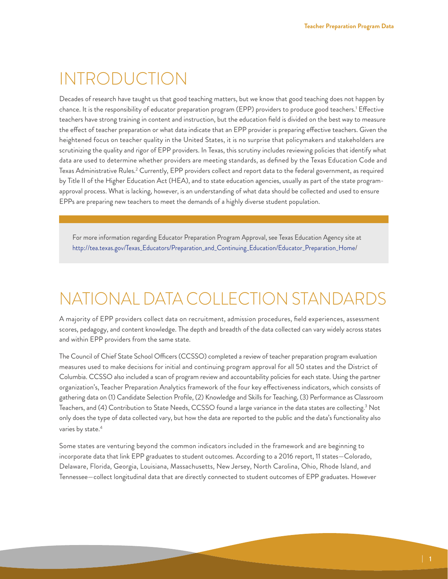#### INTRODUCTION

Decades of research have taught us that good teaching matters, but we know that good teaching does not happen by chance. It is the responsibility of educator preparation program (EPP) providers to produce good teachers[.1](#page-8-0) Effective teachers have strong training in content and instruction, but the education field is divided on the best way to measure the effect of teacher preparation or what data indicate that an EPP provider is preparing effective teachers. Given the heightened focus on teacher quality in the United States, it is no surprise that policymakers and stakeholders are scrutinizing the quality and rigor of EPP providers. In Texas, this scrutiny includes reviewing policies that identify what data are used to determine whether providers are meeting standards, as defined by the Texas Education Code and Texas Administrative Rules.<sup>2</sup> Currently, EPP providers collect and report data to the federal government, as required by Title II of the Higher Education Act (HEA), and to state education agencies, usually as part of the state programapproval process. What is lacking, however, is an understanding of what data should be collected and used to ensure EPPs are preparing new teachers to meet the demands of a highly diverse student population.

For more information regarding Educator Preparation Program Approval, see Texas Education Agency site at [http://tea.texas.gov/Texas\\_Educators/Preparation\\_and\\_Continuing\\_Education/Educator\\_Preparation\\_Home/](http://tea.texas.gov/Texas_Educators/Preparation_and_Continuing_Education/Educator_Preparation_Home/)

### NATIONAL DATA COLLECTION STANDARDS

A majority of EPP providers collect data on recruitment, admission procedures, field experiences, assessment scores, pedagogy, and content knowledge. The depth and breadth of the data collected can vary widely across states and within EPP providers from the same state.

The Council of Chief State School Officers (CCSSO) completed a review of teacher preparation program evaluation measures used to make decisions for initial and continuing program approval for all 50 states and the District of Columbia. CCSSO also included a scan of program review and accountability policies for each state. Using the partner organization's, Teacher Preparation Analytics framework of the four key effectiveness indicators, which consists of gathering data on (1) Candidate Selection Profile, (2) Knowledge and Skills for Teaching, (3) Performance as Classroom Teachers, and (4) Contribution to State Needs, CCSSO found a large variance in the data states are collecting[.3](#page-8-2) Not only does the type of data collected vary, but how the data are reported to the public and the data's functionality also varies by state.<sup>[4](#page-8-3)</sup>

Some states are venturing beyond the common indicators included in the framework and are beginning to incorporate data that link EPP graduates to student outcomes. According to a 2016 report, 11 states—Colorado, Delaware, Florida, Georgia, Louisiana, Massachusetts, New Jersey, North Carolina, Ohio, Rhode Island, and Tennessee—collect longitudinal data that are directly connected to student outcomes of EPP graduates. However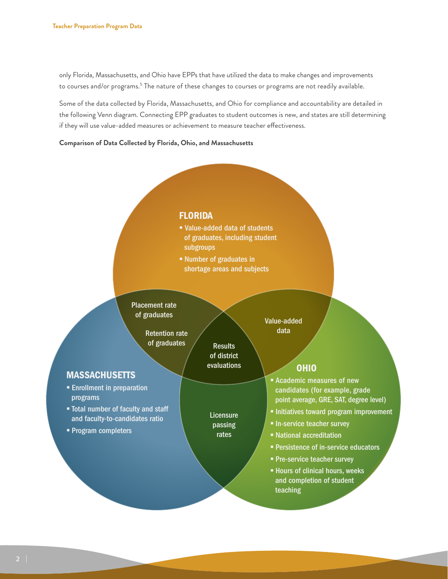only Florida, Massachusetts, and Ohio have EPPs that have utilized the data to make changes and improvements to courses and/or programs.<sup>5</sup> The nature of these changes to courses or programs are not readily available.

Some of the data collected by Florida, Massachusetts, and Ohio for compliance and accountability are detailed in the following Venn diagram. Connecting EPP graduates to student outcomes is new, and states are still determining if they will use value-added measures or achievement to measure teacher effectiveness.

**Comparison of Data Collected by Florida, Ohio, and Massachusetts**

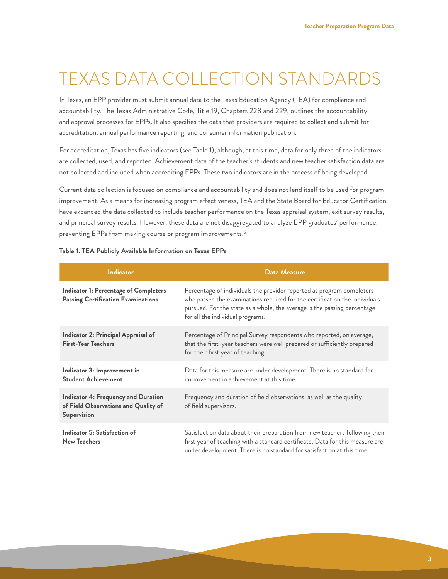### TEXAS DATA COLLECTION STANDARDS

In Texas, an EPP provider must submit annual data to the Texas Education Agency (TEA) for compliance and accountability. The Texas Administrative Code, Title 19, Chapters 228 and 229, outlines the accountability and approval processes for EPPs. It also specifies the data that providers are required to collect and submit for accreditation, annual performance reporting, and consumer information publication.

For accreditation, Texas has five indicators (see Table 1), although, at this time, data for only three of the indicators are collected, used, and reported. Achievement data of the teacher's students and new teacher satisfaction data are not collected and included when accrediting EPPs. These two indicators are in the process of being developed.

Current data collection is focused on compliance and accountability and does not lend itself to be used for program improvement. As a means for increasing program effectiveness, TEA and the State Board for Educator Certification have expanded the data collected to include teacher performance on the Texas appraisal system, exit survey results, and principal survey results. However, these data are not disaggregated to analyze EPP graduates' performance, preventing EPPs from making course or program improvements.<sup>6</sup>

| <b>Indicator</b>                                                                           | <b>Data Measure</b>                                                                                                                                                                                                                                                 |
|--------------------------------------------------------------------------------------------|---------------------------------------------------------------------------------------------------------------------------------------------------------------------------------------------------------------------------------------------------------------------|
| Indicator 1: Percentage of Completers<br><b>Passing Certification Examinations</b>         | Percentage of individuals the provider reported as program completers<br>who passed the examinations required for the certification the individuals<br>pursued. For the state as a whole, the average is the passing percentage<br>for all the individual programs. |
| Indicator 2: Principal Appraisal of<br><b>First-Year Teachers</b>                          | Percentage of Principal Survey respondents who reported, on average,<br>that the first-year teachers were well prepared or sufficiently prepared<br>for their first year of teaching.                                                                               |
| Indicator 3: Improvement in<br><b>Student Achievement</b>                                  | Data for this measure are under development. There is no standard for<br>improvement in achievement at this time.                                                                                                                                                   |
| Indicator 4: Frequency and Duration<br>of Field Observations and Quality of<br>Supervision | Frequency and duration of field observations, as well as the quality<br>of field supervisors.                                                                                                                                                                       |
| Indicator 5: Satisfaction of<br><b>New Teachers</b>                                        | Satisfaction data about their preparation from new teachers following their<br>first year of teaching with a standard certificate. Data for this measure are<br>under development. There is no standard for satisfaction at this time.                              |

#### **Table 1. TEA Publicly Available Information on Texas EPPs**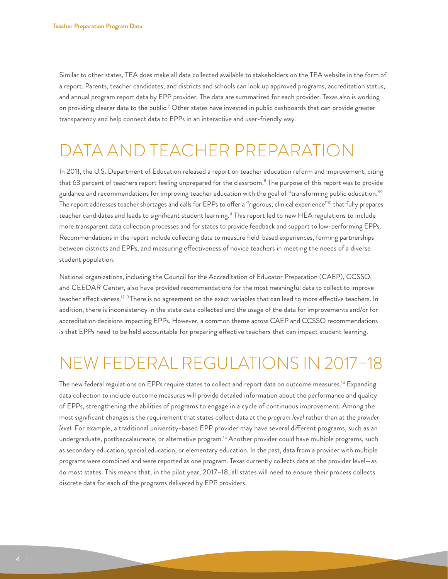Similar to other states, TEA does make all data collected available to stakeholders on the TEA website in the form of a report. Parents, teacher candidates, and districts and schools can look up approved programs, accreditation status, and annual program report data by EPP provider. The data are summarized for each provider. Texas also is working on providing clearer data to the public.<sup>7</sup> Other states have invested in public dashboards that can provide greater transparency and help connect data to EPPs in an interactive and user-friendly way.

#### DATA AND TEACHER PREPARATION

In 2011, the U.S. Department of Education released a report on teacher education reform and improvement, citing that 63 percent of teachers report feeling unprepared for the classroom.<sup>8</sup> The purpose of this report was to provide guidance and recommendations for improving teacher education with the goal of "transforming public education.["9](#page-8-8) The report addresses teacher shortages and calls for EPPs to offer a "rigorous, clinical experience"<sup>[10](#page-8-9)</sup> that fully prepares teacher candidates and leads to significant student learning.<sup>11</sup> This report led to new HEA regulations to include more transparent data collection processes and for states to provide feedback and support to low-performing EPPs. Recommendations in the report include collecting data to measure field-based experiences, forming partnerships between districts and EPPs, and measuring effectiveness of novice teachers in meeting the needs of a diverse student population.

National organizations, including the Council for the Accreditation of Educator Preparation (CAEP), CCSSO, and CEEDAR Center, also have provided recommendations for the most meaningful data to collect to improve teacher effectiveness.<sup>12[,13](#page-9-2)</sup> There is no agreement on the exact variables that can lead to more effective teachers. In addition, there is inconsistency in the state data collected and the usage of the data for improvements and/or for accreditation decisions impacting EPPs. However, a common theme across CAEP and CCSSO recommendations is that EPPs need to be held accountable for preparing effective teachers that can impact student learning.

### NEW FEDERAL REGULATIONS IN 2017–18

The new federal regulations on EPPs require states to collect and report data on outcome measures.<sup>14</sup> Expanding data collection to include outcome measures will provide detailed information about the performance and quality of EPPs, strengthening the abilities of programs to engage in a cycle of continuous improvement. Among the most significant changes is the requirement that states collect data at the *program level* rather than at the *provider level.* For example, a traditional university-based EPP provider may have several different programs, such as an undergraduate, postbaccalaureate, or alternative program[.15](#page-9-4) Another provider could have multiple programs, such as secondary education, special education, or elementary education. In the past, data from a provider with multiple programs were combined and were reported as one program. Texas currently collects data at the provider level—as do most states. This means that, in the pilot year, 2017–18, all states will need to ensure their process collects discrete data for each of the programs delivered by EPP providers.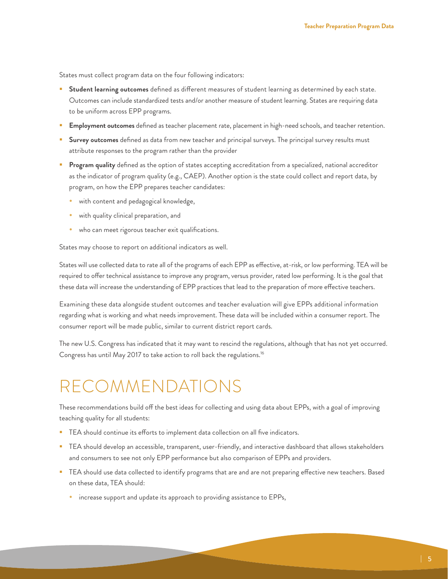States must collect program data on the four following indicators:

- **Student learning outcomes** defined as different measures of student learning as determined by each state. Outcomes can include standardized tests and/or another measure of student learning. States are requiring data to be uniform across EPP programs.
- **Employment outcomes** defined as teacher placement rate, placement in high-need schools, and teacher retention.
- **Survey outcomes** defined as data from new teacher and principal surveys. The principal survey results must attribute responses to the program rather than the provider
- **Program quality** defined as the option of states accepting accreditation from a specialized, national accreditor as the indicator of program quality (e.g., CAEP). Another option is the state could collect and report data, by program, on how the EPP prepares teacher candidates:
	- with content and pedagogical knowledge,
	- with quality clinical preparation, and
	- who can meet rigorous teacher exit qualifications.

States may choose to report on additional indicators as well.

States will use collected data to rate all of the programs of each EPP as effective, at-risk, or low performing. TEA will be required to offer technical assistance to improve any program, versus provider, rated low performing. It is the goal that these data will increase the understanding of EPP practices that lead to the preparation of more effective teachers.

Examining these data alongside student outcomes and teacher evaluation will give EPPs additional information regarding what is working and what needs improvement. These data will be included within a consumer report. The consumer report will be made public, similar to current district report cards.

The new U.S. Congress has indicated that it may want to rescind the regulations, although that has not yet occurred. Congress has until May 2017 to take action to roll back the regulations.<sup>16</sup>

### RECOMMENDATIONS

These recommendations build off the best ideas for collecting and using data about EPPs, with a goal of improving teaching quality for all students:

- **TEA** should continue its efforts to implement data collection on all five indicators.
- **TEA** should develop an accessible, transparent, user-friendly, and interactive dashboard that allows stakeholders and consumers to see not only EPP performance but also comparison of EPPs and providers.
- TEA should use data collected to identify programs that are and are not preparing effective new teachers. Based on these data, TEA should:
	- increase support and update its approach to providing assistance to EPPs,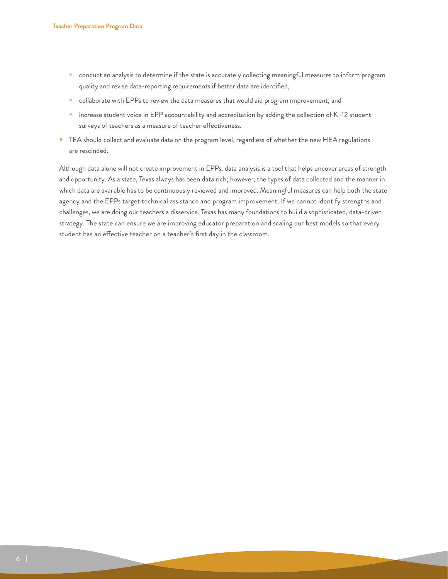- conduct an analysis to determine if the state is accurately collecting meaningful measures to inform program quality and revise data-reporting requirements if better data are identified,
- collaborate with EPPs to review the data measures that would aid program improvement, and
- increase student voice in EPP accountability and accreditation by adding the collection of K-12 student surveys of teachers as a measure of teacher effectiveness.
- **TEA** should collect and evaluate data on the program level, regardless of whether the new HEA regulations are rescinded.

Although data alone will not create improvement in EPPs, data analysis is a tool that helps uncover areas of strength and opportunity. As a state, Texas always has been data rich; however, the types of data collected and the manner in which data are available has to be continuously reviewed and improved. Meaningful measures can help both the state agency and the EPPs target technical assistance and program improvement. If we cannot identify strengths and challenges, we are doing our teachers a disservice. Texas has many foundations to build a sophisticated, data-driven strategy. The state can ensure we are improving educator preparation and scaling our best models so that every student has an effective teacher on a teacher's first day in the classroom.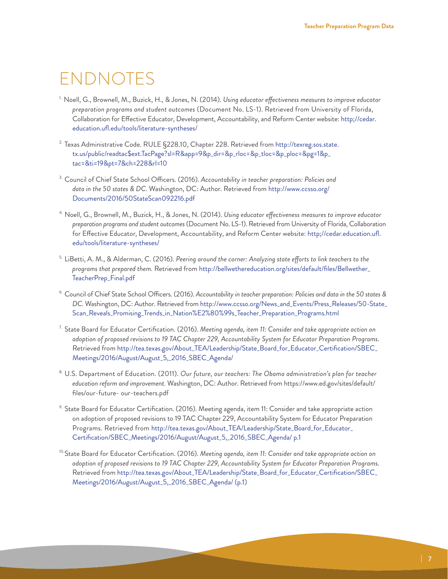#### ENDNOTES

- <span id="page-8-0"></span>1. Noell, G., Brownell, M., Buzick, H., & Jones, N. (2014). *Using educator effectiveness measures to improve educator preparation programs and student outcomes* (Document No. LS-1). Retrieved from University of Florida, Collaboration for Effective Educator, Development, Accountability, and Reform Center website: http;/[/cedar.](http://cedar.education.ufl.edu/tools/literature) [education.ufl.edu/tools/literature](http://cedar.education.ufl.edu/tools/literature)-syntheses/
- <span id="page-8-1"></span>2. Texas Administrative Code. RULE §228.10, Chapter 228. Retrieved from http://texreg.sos.state. tx.us/public/readtac\$[ext.TacPage](http://texreg.sos.state.tx.us/public/readtac$ext.TacPage?sl=R&app=9&p_dir=&p_rloc=&p_tloc=&p_ploc=&pg=1&p_tac=&ti=19&pt=7&ch=228&rl=10)?sl=R&app=9&p\_dir=&p\_rloc=&p\_tloc=&p\_ploc=&pg=1&p\_ tac=&ti=19&pt=7&ch=228&rl=10
- <span id="page-8-2"></span>3. Council of Chief State School Officers. (2016). *Accountability in teacher preparation: Policies and data in the 50 states & DC.* Washington, DC: Author. Retrieved from [http://www.ccsso.org/](http://www.ccsso.org/Documents/2016/50StateScan092216.pdf) [Documents/2016/50StateScan092216.pdf](http://www.ccsso.org/Documents/2016/50StateScan092216.pdf)
- <span id="page-8-3"></span>4. Noell, G., Brownell, M., Buzick, H., & Jones, N. (2014). *Using educator effectiveness measures to improve educator preparation programs and student outcomes* (Document No. LS-1). Retrieved from University of Florida, Collaboration for Effective Educator, Development, Accountability, and Reform Center website: http;//[cedar.education.ufl.](http://cedar.education.ufl.edu/tools/literature) [edu/tools/literature](http://cedar.education.ufl.edu/tools/literature)-syntheses/
- <span id="page-8-4"></span>5. LiBetti, A. M., & Alderman, C. (2016). *Peering around the corner: Analyzing state efforts to link teachers to the programs that prepared them.* Retrieved from [http://bellwethereducation.org/sites/default/files/Bellwether\\_](http://bellwethereducation.org/sites/default/files/Bellwether_TeacherPrep_Final.pdf) [TeacherPrep\\_Final.pdf](http://bellwethereducation.org/sites/default/files/Bellwether_TeacherPrep_Final.pdf)
- <span id="page-8-5"></span>6. Council of Chief State School Officers. (2016). *Accountability in teacher preparation: Policies and data in the 50 states & DC.* Washington, DC: Author. Retrieved from [http://www.ccsso.org/News\\_and\\_Events/Press\\_Releases/50](http://www.ccsso.org/News_and_Events/Press_Releases/50-State_Scan_Reveals_Promising_Trends_in_Nation%E2%80%99s_Teacher_Preparation_Programs.html)-State\_ Scan\_Reveals\_Promising\_Trends\_in\_Nation%E2%80%99s\_Teacher\_Preparation\_Programs.html
- <span id="page-8-6"></span>7. State Board for Educator Certification. (2016). *Meeting agenda, item 11: Consider and take appropriate action on adoption of proposed revisions to 19 TAC Chapter 229, Accountability System for Educator Preparation Programs.* Retrieved from [http://tea.texas.gov/About\\_TEA/Leadership/State\\_Board\\_for\\_Educator\\_Certification/SBEC\\_](http://tea.texas.gov/About_TEA/Leadership/State_Board_for_Educator_Certification/SBEC_Meetings/2016/August/August_5,_2016_SBEC_Agenda/ ) [Meetings/2016/August/August\\_5,\\_2016\\_SBEC\\_Agenda/](http://tea.texas.gov/About_TEA/Leadership/State_Board_for_Educator_Certification/SBEC_Meetings/2016/August/August_5,_2016_SBEC_Agenda/ )
- <span id="page-8-7"></span>8. U.S. Department of Education. (2011). *Our future, our teachers: The Obama administration's plan for teacher education reform and improvement.* Washington, DC: Author. Retrieved from https://www.ed.gov/sites/default/ files/our-future- our-teachers.pdf
- <span id="page-8-8"></span>9. State Board for Educator Certification. (2016). Meeting agenda, item 11: Consider and take appropriate action on adoption of proposed revisions to 19 TAC Chapter 229, Accountability System for Educator Preparation Programs. Retrieved from [http://tea.texas.gov/About\\_TEA/Leadership/State\\_Board\\_for\\_Educator\\_](http://tea.texas.gov/About_TEA/Leadership/State_Board_for_Educator_Certification/SBEC_Meetings/2016/August/August_5,_2016_SBEC_Agenda/ p.1) [Certification/SBEC\\_Meetings/2016/August/August\\_5](http://tea.texas.gov/About_TEA/Leadership/State_Board_for_Educator_Certification/SBEC_Meetings/2016/August/August_5,_2016_SBEC_Agenda/ p.1),\_2016\_SBEC\_Agenda/ p.1
- <span id="page-8-9"></span>10.State Board for Educator Certification. (2016). *Meeting agenda, item 11: Consider and take appropriate action on adoption of proposed revisions to 19 TAC Chapter 229, Accountability System for Educator Preparation Programs.*  Retrieved from [http://tea.texas.gov/About\\_TEA/Leadership/State\\_Board\\_for\\_Educator\\_Certification/SBEC\\_](mailto:EdTX%40CFTexas.org?subject=) [Meetings/2016/August/August\\_5](mailto:EdTX%40CFTexas.org?subject=),\_2016\_SBEC\_Agenda/ (p.1)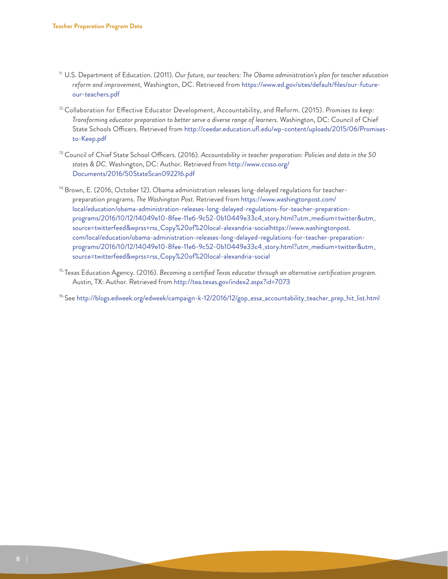- <span id="page-9-0"></span>11. U.S. Department of Education. (2011). *Our future, our teachers: The Obama administration's plan for teacher education reform and improvement,* Washington, DC. Retrieved from [https://www.ed.gov/sites/default/files/our-future](https://www.ed.gov/sites/default/files/our-future-our-teachers.pdf)[our-teachers.pdf](https://www.ed.gov/sites/default/files/our-future-our-teachers.pdf)
- <span id="page-9-1"></span><sup>12.</sup> Collaboration for Effective Educator Development, Accountability, and Reform. (2015). *Promises to keep: Transforming educator preparation to better serve a diverse range of learners.* Washington, DC: Council of Chief State Schools Officers. Retrieved from [http://ceedar.education.ufl.edu/wp-content/uploads/2015/06/Promises](http://ceedar.education.ufl.edu/wp-content/uploads/2015/06/Promises-to-Keep.pdf)[to-Keep.pdf](http://ceedar.education.ufl.edu/wp-content/uploads/2015/06/Promises-to-Keep.pdf)
- <span id="page-9-2"></span>13.Council of Chief State School Officers. (2016). *Accountability in teacher preparation: Policies and data in the 50 states & DC.* Washington, DC: Author. Retrieved from [http://www.ccsso.org/](http://www.ccsso.org/Documents/2016/50StateScan092216.pdf) [Documents/2016/50StateScan092216.pdf](http://www.ccsso.org/Documents/2016/50StateScan092216.pdf)
- <span id="page-9-3"></span><sup>14.</sup>Brown, E. (2016, October 12). Obama administration releases long-delayed regulations for teacherpreparation programs. *The Washington Post.* Retrieved from [https://www.washingtonpost.com/](https://www.washingtonpost.com/local/education/obama-administration-releases-long-delayed-regulations-for-teacher-preparation-programs/2016/10/12/14049e10-8fee-11e6-9c52-0b10449e33c4_story.html?utm_medium=twitter&utm_source=twitterfeed&wprss=rss_Copy%20of%20local-alexandria-socialhttps:) [local/education/obama-administration-releases-long-delayed-regulations-for-teacher-preparation](https://www.washingtonpost.com/local/education/obama-administration-releases-long-delayed-regulations-for-teacher-preparation-programs/2016/10/12/14049e10-8fee-11e6-9c52-0b10449e33c4_story.html?utm_medium=twitter&utm_source=twitterfeed&wprss=rss_Copy%20of%20local-alexandria-socialhttps:)[programs/2016/10/12/14049e10-8fee-11e6-9c52-0b10449e33c4\\_story.html?utm\\_medium=twitter&utm\\_](https://www.washingtonpost.com/local/education/obama-administration-releases-long-delayed-regulations-for-teacher-preparation-programs/2016/10/12/14049e10-8fee-11e6-9c52-0b10449e33c4_story.html?utm_medium=twitter&utm_source=twitterfeed&wprss=rss_Copy%20of%20local-alexandria-socialhttps:) [source=twitterfeed&wprss=rss\\_Copy%20of%20local-alexandria-socialhttps:](https://www.washingtonpost.com/local/education/obama-administration-releases-long-delayed-regulations-for-teacher-preparation-programs/2016/10/12/14049e10-8fee-11e6-9c52-0b10449e33c4_story.html?utm_medium=twitter&utm_source=twitterfeed&wprss=rss_Copy%20of%20local-alexandria-socialhttps:)//[www.washingtonpost.](http://www.washingtonpost.com/local/education/obama-administration-releases-long-delayed-regulations-for-teacher-preparation-programs/2016/10/12/14049e10-8fee-11e6-9c52-0b10449e33c4_story.html) [com/local/education/obama-administration-releases-long-delayed-regulations-for-teacher-preparation](http://www.washingtonpost.com/local/education/obama-administration-releases-long-delayed-regulations-for-teacher-preparation-programs/2016/10/12/14049e10-8fee-11e6-9c52-0b10449e33c4_story.html)[programs/2016/10/12/14049e10-8fee-11e6-9c52-0b10449e33c4\\_story.html?](http://www.washingtonpost.com/local/education/obama-administration-releases-long-delayed-regulations-for-teacher-preparation-programs/2016/10/12/14049e10-8fee-11e6-9c52-0b10449e33c4_story.html)utm\_medium=twitter&utm\_ source=twitterfeed&wprss=rss\_Copy%20of%20local-alexandria-social
- <span id="page-9-4"></span>15.Texas Education Agency. (2016). *Becoming a certified Texas educator through an alternative certification program.* Austin, TX: Author. Retrieved from <http://tea.texas.gov/index2.aspx?id=7073>

<span id="page-9-5"></span>16.See [http://blogs.edweek.org/edweek/campaign-k-12/2016/12/gop\\_essa\\_accountability\\_teacher\\_prep\\_hit\\_list.html](http://blogs.edweek.org/edweek/campaign-k-12/2016/12/gop_essa_accountability_teacher_prep_hit_list.html)